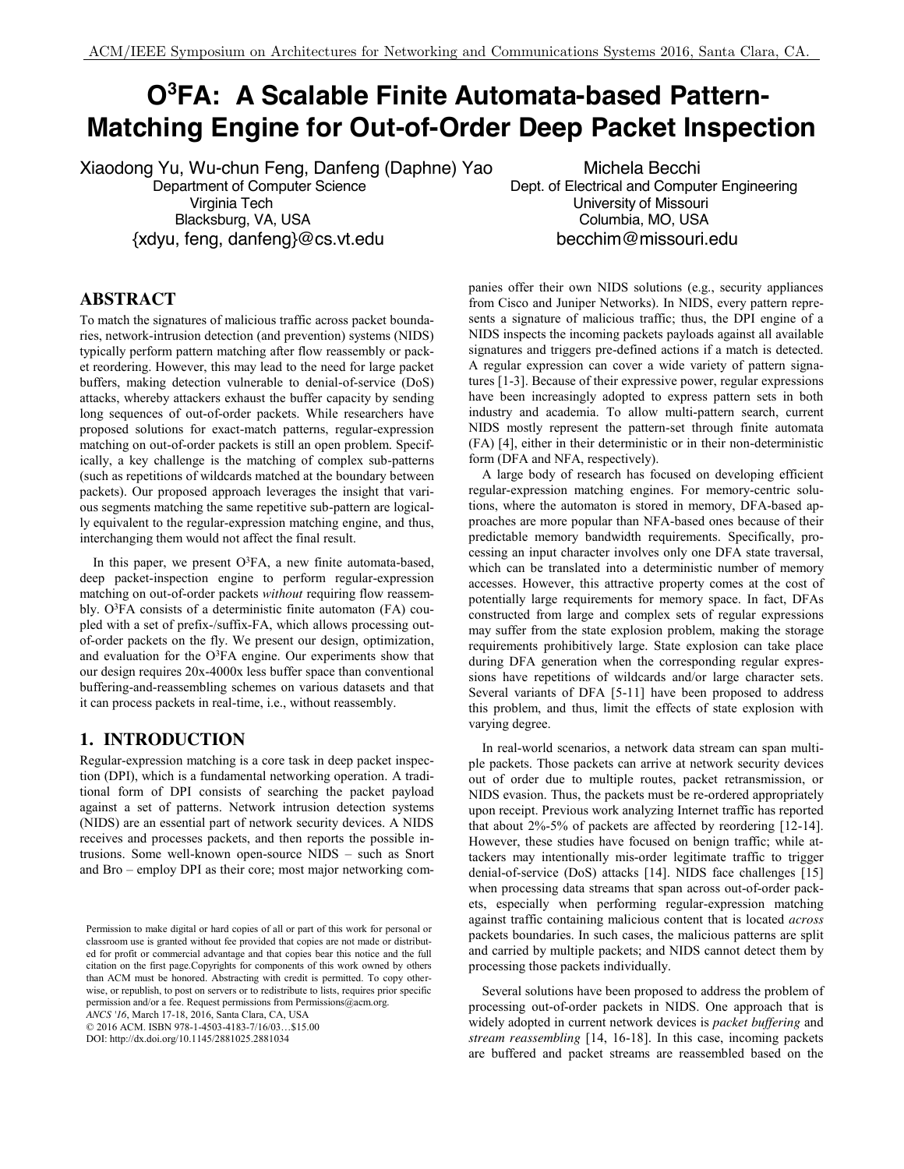# **O<sup>3</sup> FA: A Scalable Finite Automata-based Pattern-Matching Engine for Out-of-Order Deep Packet Inspection**

Xiaodong Yu, Wu-chun Feng, Danfeng (Daphne) Yao Michela Becchi<br>Dept. of Electrical and Computer Science Dept. of Electrical and Comput rtment of Computer Science The Science Dept. of Electrical and Computer Engineering<br>
Virginia Tech University of Missouri Blacksburg, VA, USA {xdyu, feng, danfeng}@cs.vt.edu becchim@missouri.edu

**ABSTRACT**

To match the signatures of malicious traffic across packet boundaries, network-intrusion detection (and prevention) systems (NIDS) typically perform pattern matching after flow reassembly or packet reordering. However, this may lead to the need for large packet buffers, making detection vulnerable to denial-of-service (DoS) attacks, whereby attackers exhaust the buffer capacity by sending long sequences of out-of-order packets. While researchers have proposed solutions for exact-match patterns, regular-expression matching on out-of-order packets is still an open problem. Specifically, a key challenge is the matching of complex sub-patterns (such as repetitions of wildcards matched at the boundary between packets). Our proposed approach leverages the insight that various segments matching the same repetitive sub-pattern are logically equivalent to the regular-expression matching engine, and thus, interchanging them would not affect the final result.

In this paper, we present  $O<sup>3</sup>FA$ , a new finite automata-based, deep packet-inspection engine to perform regular-expression matching on out-of-order packets *without* requiring flow reassembly. O3FA consists of a deterministic finite automaton (FA) coupled with a set of prefix-/suffix-FA, which allows processing outof-order packets on the fly. We present our design, optimization, and evaluation for the  $O<sup>3</sup>FA$  engine. Our experiments show that our design requires 20x-4000x less buffer space than conventional buffering-and-reassembling schemes on various datasets and that it can process packets in real-time, i.e., without reassembly.

## **1. INTRODUCTION**

Regular-expression matching is a core task in deep packet inspection (DPI), which is a fundamental networking operation. A traditional form of DPI consists of searching the packet payload against a set of patterns. Network intrusion detection systems (NIDS) are an essential part of network security devices. A NIDS receives and processes packets, and then reports the possible intrusions. Some well-known open-source NIDS – such as Snort and Bro – employ DPI as their core; most major networking com-

*ANCS '16*, March 17-18, 2016, Santa Clara, CA, USA

© 2016 ACM. ISBN 978-1-4503-4183-7/16/03…\$15.00

DOI: http://dx.doi.org/10.1145/2881025.2881034

panies offer their own NIDS solutions (e.g., security appliances from Cisco and Juniper Networks). In NIDS, every pattern represents a signature of malicious traffic; thus, the DPI engine of a NIDS inspects the incoming packets payloads against all available signatures and triggers pre-defined actions if a match is detected. A regular expression can cover a wide variety of pattern signatures [1-3]. Because of their expressive power, regular expressions have been increasingly adopted to express pattern sets in both industry and academia. To allow multi-pattern search, current NIDS mostly represent the pattern-set through finite automata (FA) [4], either in their deterministic or in their non-deterministic form (DFA and NFA, respectively).

University of Missouri<br>Columbia, MO, USA

A large body of research has focused on developing efficient regular-expression matching engines. For memory-centric solutions, where the automaton is stored in memory, DFA-based approaches are more popular than NFA-based ones because of their predictable memory bandwidth requirements. Specifically, processing an input character involves only one DFA state traversal, which can be translated into a deterministic number of memory accesses. However, this attractive property comes at the cost of potentially large requirements for memory space. In fact, DFAs constructed from large and complex sets of regular expressions may suffer from the state explosion problem, making the storage requirements prohibitively large. State explosion can take place during DFA generation when the corresponding regular expressions have repetitions of wildcards and/or large character sets. Several variants of DFA [5-11] have been proposed to address this problem, and thus, limit the effects of state explosion with varying degree.

In real-world scenarios, a network data stream can span multiple packets. Those packets can arrive at network security devices out of order due to multiple routes, packet retransmission, or NIDS evasion. Thus, the packets must be re-ordered appropriately upon receipt. Previous work analyzing Internet traffic has reported that about 2%-5% of packets are affected by reordering [12-14]. However, these studies have focused on benign traffic; while attackers may intentionally mis-order legitimate traffic to trigger denial-of-service (DoS) attacks [14]. NIDS face challenges [15] when processing data streams that span across out-of-order packets, especially when performing regular-expression matching against traffic containing malicious content that is located *across* packets boundaries. In such cases, the malicious patterns are split and carried by multiple packets; and NIDS cannot detect them by processing those packets individually.

Several solutions have been proposed to address the problem of processing out-of-order packets in NIDS. One approach that is widely adopted in current network devices is *packet buffering* and *stream reassembling* [14, 16-18]. In this case, incoming packets are buffered and packet streams are reassembled based on the

Permission to make digital or hard copies of all or part of this work for personal or classroom use is granted without fee provided that copies are not made or distributed for profit or commercial advantage and that copies bear this notice and the full citation on the first page.Copyrights for components of this work owned by others than ACM must be honored. Abstracting with credit is permitted. To copy otherwise, or republish, to post on servers or to redistribute to lists, requires prior specific permission and/or a fee. Request permissions from Permissions@acm.org.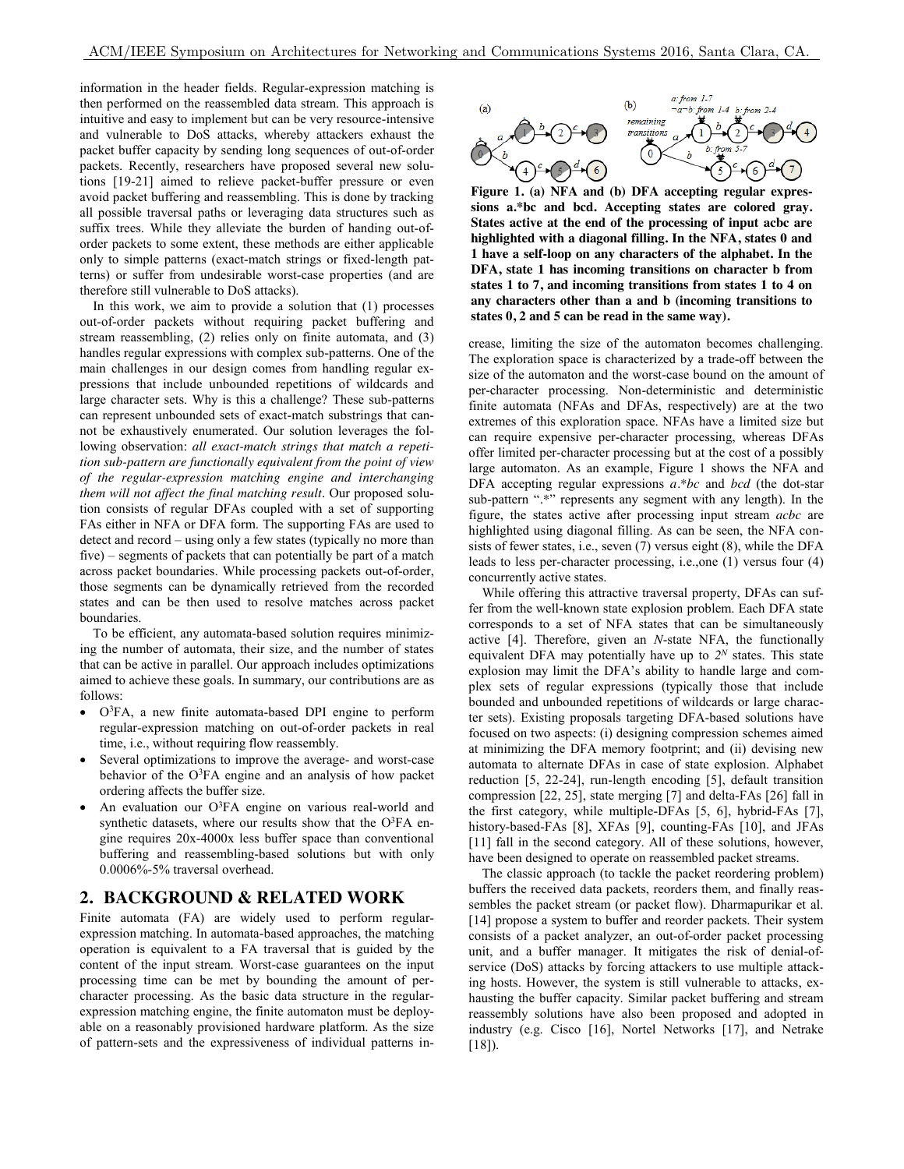information in the header fields. Regular-expression matching is then performed on the reassembled data stream. This approach is intuitive and easy to implement but can be very resource-intensive and vulnerable to DoS attacks, whereby attackers exhaust the packet buffer capacity by sending long sequences of out-of-order packets. Recently, researchers have proposed several new solutions [19-21] aimed to relieve packet-buffer pressure or even avoid packet buffering and reassembling. This is done by tracking all possible traversal paths or leveraging data structures such as suffix trees. While they alleviate the burden of handing out-oforder packets to some extent, these methods are either applicable only to simple patterns (exact-match strings or fixed-length patterns) or suffer from undesirable worst-case properties (and are therefore still vulnerable to DoS attacks).

In this work, we aim to provide a solution that (1) processes out-of-order packets without requiring packet buffering and stream reassembling, (2) relies only on finite automata, and (3) handles regular expressions with complex sub-patterns. One of the main challenges in our design comes from handling regular expressions that include unbounded repetitions of wildcards and large character sets. Why is this a challenge? These sub-patterns can represent unbounded sets of exact-match substrings that cannot be exhaustively enumerated. Our solution leverages the following observation: *all exact-match strings that match a repetition sub-pattern are functionally equivalent from the point of view of the regular-expression matching engine and interchanging them will not affect the final matching result*. Our proposed solution consists of regular DFAs coupled with a set of supporting FAs either in NFA or DFA form. The supporting FAs are used to detect and record – using only a few states (typically no more than five) – segments of packets that can potentially be part of a match across packet boundaries. While processing packets out-of-order, those segments can be dynamically retrieved from the recorded states and can be then used to resolve matches across packet boundaries.

To be efficient, any automata-based solution requires minimizing the number of automata, their size, and the number of states that can be active in parallel. Our approach includes optimizations aimed to achieve these goals. In summary, our contributions are as follows:

- $\bullet$  O<sup>3</sup>FA, a new finite automata-based DPI engine to perform regular-expression matching on out-of-order packets in real time, i.e., without requiring flow reassembly.
- Several optimizations to improve the average- and worst-case behavior of the  $O^3FA$  engine and an analysis of how packet ordering affects the buffer size.
- An evaluation our  $O<sup>3</sup>FA$  engine on various real-world and synthetic datasets, where our results show that the  $O<sup>3</sup>FA$  engine requires 20x-4000x less buffer space than conventional buffering and reassembling-based solutions but with only 0.0006%-5% traversal overhead.

#### **2. BACKGROUND & RELATED WORK**

Finite automata (FA) are widely used to perform regularexpression matching. In automata-based approaches, the matching operation is equivalent to a FA traversal that is guided by the content of the input stream. Worst-case guarantees on the input processing time can be met by bounding the amount of percharacter processing. As the basic data structure in the regularexpression matching engine, the finite automaton must be deployable on a reasonably provisioned hardware platform. As the size of pattern-sets and the expressiveness of individual patterns in-



**Figure 1. (a) NFA and (b) DFA accepting regular expressions a.\*bc and bcd. Accepting states are colored gray. States active at the end of the processing of input acbc are highlighted with a diagonal filling. In the NFA, states 0 and 1 have a self-loop on any characters of the alphabet. In the DFA, state 1 has incoming transitions on character b from states 1 to 7, and incoming transitions from states 1 to 4 on any characters other than a and b (incoming transitions to states 0, 2 and 5 can be read in the same way).**

crease, limiting the size of the automaton becomes challenging. The exploration space is characterized by a trade-off between the size of the automaton and the worst-case bound on the amount of per-character processing. Non-deterministic and deterministic finite automata (NFAs and DFAs, respectively) are at the two extremes of this exploration space. NFAs have a limited size but can require expensive per-character processing, whereas DFAs offer limited per-character processing but at the cost of a possibly large automaton. As an example, Figure 1 shows the NFA and DFA accepting regular expressions *a.\*bc* and *bcd* (the dot-star sub-pattern "*.\**" represents any segment with any length). In the figure, the states active after processing input stream *acbc* are highlighted using diagonal filling. As can be seen, the NFA consists of fewer states, i.e., seven (7) versus eight (8), while the DFA leads to less per-character processing, i.e.,one (1) versus four (4) concurrently active states.

While offering this attractive traversal property, DFAs can suffer from the well-known state explosion problem. Each DFA state corresponds to a set of NFA states that can be simultaneously active [4]. Therefore, given an *N*-state NFA, the functionally equivalent DFA may potentially have up to  $2<sup>N</sup>$  states. This state explosion may limit the DFA's ability to handle large and complex sets of regular expressions (typically those that include bounded and unbounded repetitions of wildcards or large character sets). Existing proposals targeting DFA-based solutions have focused on two aspects: (i) designing compression schemes aimed at minimizing the DFA memory footprint; and (ii) devising new automata to alternate DFAs in case of state explosion. Alphabet reduction [5, 22-24], run-length encoding [5], default transition compression [22, 25], state merging [7] and delta-FAs [26] fall in the first category, while multiple-DFAs [5, 6], hybrid-FAs [7], history-based-FAs [8], XFAs [9], counting-FAs [10], and JFAs [11] fall in the second category. All of these solutions, however, have been designed to operate on reassembled packet streams.

The classic approach (to tackle the packet reordering problem) buffers the received data packets, reorders them, and finally reassembles the packet stream (or packet flow). Dharmapurikar et al. [14] propose a system to buffer and reorder packets. Their system consists of a packet analyzer, an out-of-order packet processing unit, and a buffer manager. It mitigates the risk of denial-ofservice (DoS) attacks by forcing attackers to use multiple attacking hosts. However, the system is still vulnerable to attacks, exhausting the buffer capacity. Similar packet buffering and stream reassembly solutions have also been proposed and adopted in industry (e.g. Cisco [16], Nortel Networks [17], and Netrake  $[18]$ .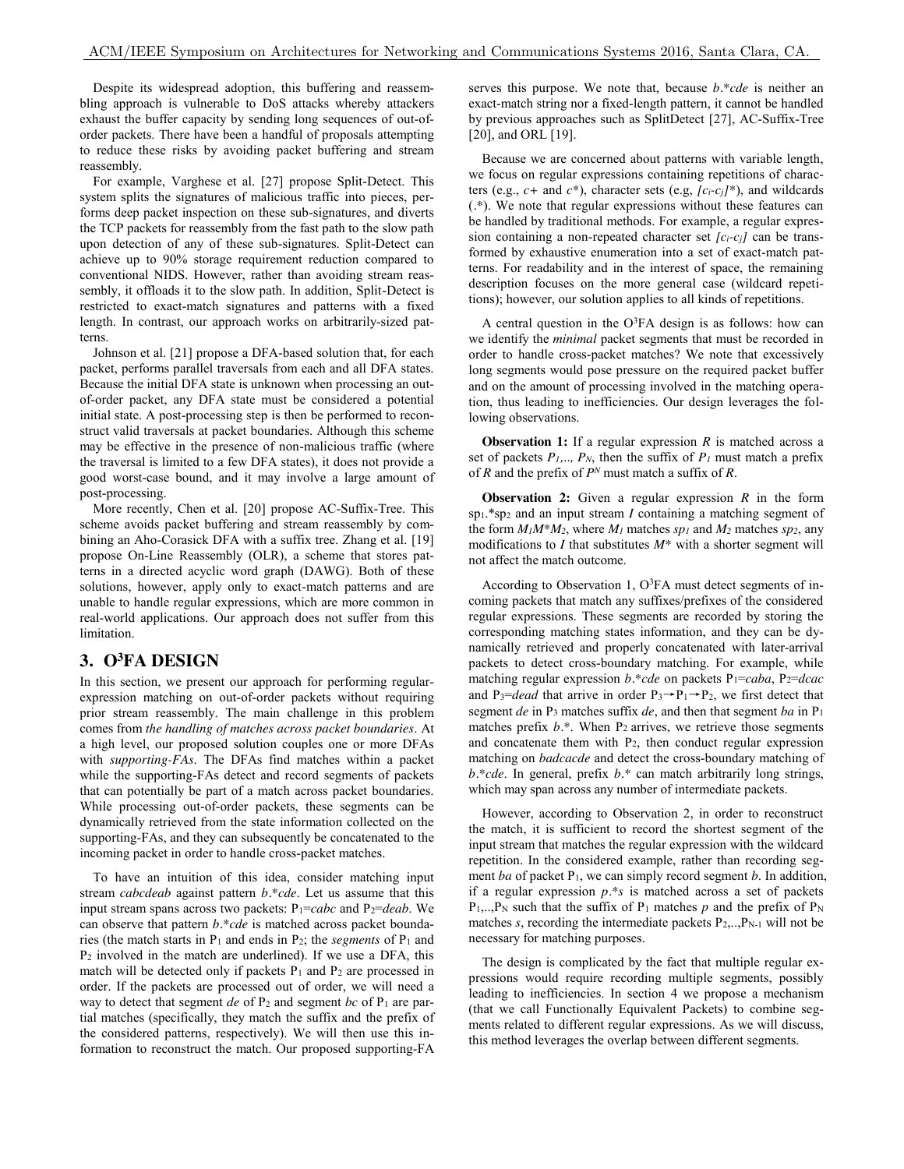Despite its widespread adoption, this buffering and reassembling approach is vulnerable to DoS attacks whereby attackers exhaust the buffer capacity by sending long sequences of out-oforder packets. There have been a handful of proposals attempting to reduce these risks by avoiding packet buffering and stream reassembly.

For example, Varghese et al. [27] propose Split-Detect. This system splits the signatures of malicious traffic into pieces, performs deep packet inspection on these sub-signatures, and diverts the TCP packets for reassembly from the fast path to the slow path upon detection of any of these sub-signatures. Split-Detect can achieve up to 90% storage requirement reduction compared to conventional NIDS. However, rather than avoiding stream reassembly, it offloads it to the slow path. In addition, Split-Detect is restricted to exact-match signatures and patterns with a fixed length. In contrast, our approach works on arbitrarily-sized patterns.

Johnson et al. [21] propose a DFA-based solution that, for each packet, performs parallel traversals from each and all DFA states. Because the initial DFA state is unknown when processing an outof-order packet, any DFA state must be considered a potential initial state. A post-processing step is then be performed to reconstruct valid traversals at packet boundaries. Although this scheme may be effective in the presence of non-malicious traffic (where the traversal is limited to a few DFA states), it does not provide a good worst-case bound, and it may involve a large amount of post-processing.

More recently, Chen et al. [20] propose AC-Suffix-Tree. This scheme avoids packet buffering and stream reassembly by combining an Aho-Corasick DFA with a suffix tree. Zhang et al. [19] propose On-Line Reassembly (OLR), a scheme that stores patterns in a directed acyclic word graph (DAWG). Both of these solutions, however, apply only to exact-match patterns and are unable to handle regular expressions, which are more common in real-world applications. Our approach does not suffer from this limitation.

## **3. O3FA DESIGN**

In this section, we present our approach for performing regularexpression matching on out-of-order packets without requiring prior stream reassembly. The main challenge in this problem comes from *the handling of matches across packet boundaries*. At a high level, our proposed solution couples one or more DFAs with *supporting-FAs*. The DFAs find matches within a packet while the supporting-FAs detect and record segments of packets that can potentially be part of a match across packet boundaries. While processing out-of-order packets, these segments can be dynamically retrieved from the state information collected on the supporting-FAs, and they can subsequently be concatenated to the incoming packet in order to handle cross-packet matches.

To have an intuition of this idea, consider matching input stream *cabcdeab* against pattern *b.\*cde*. Let us assume that this input stream spans across two packets: P1=*cabc* and P2=*deab*. We can observe that pattern *b.\*cde* is matched across packet boundaries (the match starts in P1 and ends in P2; the *segments* of P1 and P2 involved in the match are underlined). If we use a DFA, this match will be detected only if packets  $P_1$  and  $P_2$  are processed in order. If the packets are processed out of order, we will need a way to detect that segment *de* of  $P_2$  and segment *bc* of  $P_1$  are partial matches (specifically, they match the suffix and the prefix of the considered patterns, respectively). We will then use this information to reconstruct the match. Our proposed supporting-FA

serves this purpose. We note that, because *b.\*cde* is neither an exact-match string nor a fixed-length pattern, it cannot be handled by previous approaches such as SplitDetect [27], AC-Suffix-Tree [20], and ORL [19].

Because we are concerned about patterns with variable length, we focus on regular expressions containing repetitions of characters (e.g., *c+* and *c\**), character sets (e.g, *[ci-cj]\**), and wildcards (*.\**). We note that regular expressions without these features can be handled by traditional methods. For example, a regular expression containing a non-repeated character set *[ci-cj]* can be transformed by exhaustive enumeration into a set of exact-match patterns. For readability and in the interest of space, the remaining description focuses on the more general case (wildcard repetitions); however, our solution applies to all kinds of repetitions.

A central question in the  $O<sup>3</sup>FA$  design is as follows: how can we identify the *minimal* packet segments that must be recorded in order to handle cross-packet matches? We note that excessively long segments would pose pressure on the required packet buffer and on the amount of processing involved in the matching operation, thus leading to inefficiencies. Our design leverages the following observations.

**Observation 1:** If a regular expression *R* is matched across a set of packets  $P_1, \ldots, P_N$ , then the suffix of  $P_1$  must match a prefix of *R* and the prefix of *PN* must match a suffix of *R*.

**Observation 2:** Given a regular expression *R* in the form sp1.\*sp2 and an input stream *I* containing a matching segment of the form  $M_1M^*M_2$ , where  $M_1$  matches  $sp_1$  and  $M_2$  matches  $sp_2$ , any modifications to *I* that substitutes *M\** with a shorter segment will not affect the match outcome.

According to Observation 1,  $O<sup>3</sup>FA$  must detect segments of incoming packets that match any suffixes/prefixes of the considered regular expressions. These segments are recorded by storing the corresponding matching states information, and they can be dynamically retrieved and properly concatenated with later-arrival packets to detect cross-boundary matching. For example, while matching regular expression *b.\*cde* on packets P<sub>1</sub>=*caba*, P<sub>2</sub>=*dcac* and P<sub>3</sub>=*dead* that arrive in order P<sub>3</sub>→P<sub>1</sub>→P<sub>2</sub>, we first detect that segment *de* in P<sub>3</sub> matches suffix *de*, and then that segment *ba* in P<sub>1</sub> matches prefix  $b.*$ . When  $P_2$  arrives, we retrieve those segments and concatenate them with  $P_2$ , then conduct regular expression matching on *badcacde* and detect the cross-boundary matching of *b.\*cde*. In general, prefix *b.\** can match arbitrarily long strings, which may span across any number of intermediate packets.

However, according to Observation 2, in order to reconstruct the match, it is sufficient to record the shortest segment of the input stream that matches the regular expression with the wildcard repetition. In the considered example, rather than recording segment *ba* of packet P<sub>1</sub>, we can simply record segment *b*. In addition, if a regular expression *p.\*s* is matched across a set of packets  $P_1,...,P_N$  such that the suffix of  $P_1$  matches p and the prefix of  $P_N$ matches  $s$ , recording the intermediate packets  $P_2, \ldots, P_{N-1}$  will not be necessary for matching purposes.

The design is complicated by the fact that multiple regular expressions would require recording multiple segments, possibly leading to inefficiencies. In section 4 we propose a mechanism (that we call Functionally Equivalent Packets) to combine segments related to different regular expressions. As we will discuss, this method leverages the overlap between different segments.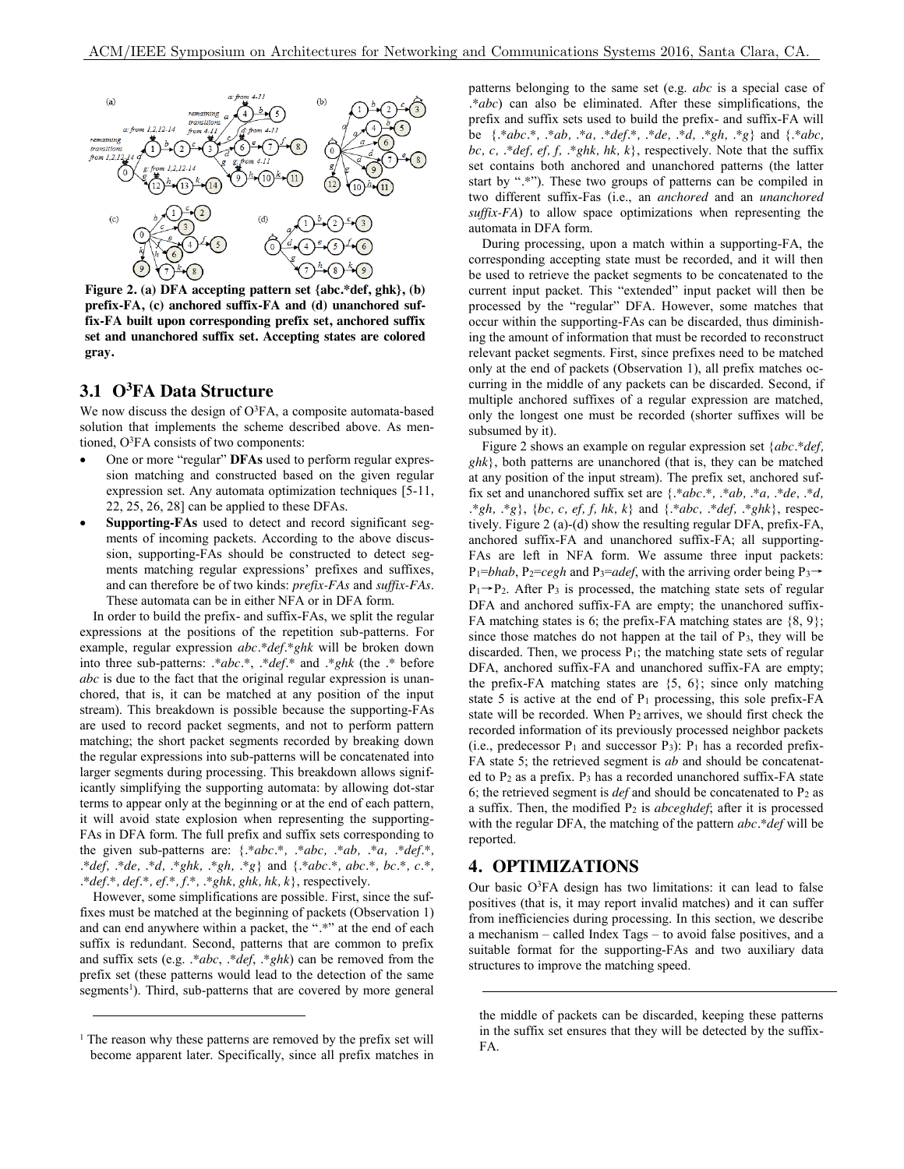

**Figure 2. (a) DFA accepting pattern set {abc.\*def, ghk}, (b) prefix-FA, (c) anchored suffix-FA and (d) unanchored suffix-FA built upon corresponding prefix set, anchored suffix set and unanchored suffix set. Accepting states are colored gray.**

## **3.1 O3FA Data Structure**

We now discuss the design of O<sup>3</sup>FA, a composite automata-based solution that implements the scheme described above. As mentioned,  $O<sup>3</sup>FA$  consists of two components:

- One or more "regular" **DFAs** used to perform regular expression matching and constructed based on the given regular expression set. Any automata optimization techniques [5-11, 22, 25, 26, 28] can be applied to these DFAs.
- **Supporting-FAs** used to detect and record significant segments of incoming packets. According to the above discussion, supporting-FAs should be constructed to detect segments matching regular expressions' prefixes and suffixes, and can therefore be of two kinds: *prefix-FAs* and *suffix-FAs*. These automata can be in either NFA or in DFA form.

In order to build the prefix- and suffix-FAs, we split the regular expressions at the positions of the repetition sub-patterns. For example, regular expression *abc.\*def.\*ghk* will be broken down into three sub-patterns: *.\*abc.\**, *.\*def.\** and *.\*ghk* (the *.\** before *abc* is due to the fact that the original regular expression is unanchored, that is, it can be matched at any position of the input stream). This breakdown is possible because the supporting-FAs are used to record packet segments, and not to perform pattern matching; the short packet segments recorded by breaking down the regular expressions into sub-patterns will be concatenated into larger segments during processing. This breakdown allows significantly simplifying the supporting automata: by allowing dot-star terms to appear only at the beginning or at the end of each pattern, it will avoid state explosion when representing the supporting-FAs in DFA form. The full prefix and suffix sets corresponding to the given sub-patterns are: {*.\*abc.\*, .\*abc, .\*ab, .\*a, .\*def.\*, .\*def, .\*de, .\*d, .\*ghk, .\*gh, .\*g*} and {*.\*abc.\*, abc.\*, bc.\*, c.\*, .\*def.\*, def.\*, ef.\*, f.\*, .\*ghk, ghk, hk, k*}, respectively.

However, some simplifications are possible. First, since the suffixes must be matched at the beginning of packets (Observation 1) and can end anywhere within a packet, the "*.\**" at the end of each suffix is redundant. Second, patterns that are common to prefix and suffix sets (e.g. *.\*abc*, *.\*def*, *.\*ghk*) can be removed from the prefix set (these patterns would lead to the detection of the same segments<sup>1</sup>). Third, sub-patterns that are covered by more general

 $\overline{a}$ 

patterns belonging to the same set (e.g. *abc* is a special case of *.\*abc*) can also be eliminated. After these simplifications, the prefix and suffix sets used to build the prefix- and suffix-FA will be {*.\*abc.\*, .\*ab, .\*a, .\*def.\*, .\*de, .\*d, .\*gh, .\*g*} and {*.\*abc, bc, c, .\*def, ef, f, .\*ghk, hk, k*}, respectively. Note that the suffix set contains both anchored and unanchored patterns (the latter start by "*.\**"). These two groups of patterns can be compiled in two different suffix-Fas (i.e., an *anchored* and an *unanchored suffix-FA*) to allow space optimizations when representing the automata in DFA form.

During processing, upon a match within a supporting-FA, the corresponding accepting state must be recorded, and it will then be used to retrieve the packet segments to be concatenated to the current input packet. This "extended" input packet will then be processed by the "regular" DFA. However, some matches that occur within the supporting-FAs can be discarded, thus diminishing the amount of information that must be recorded to reconstruct relevant packet segments. First, since prefixes need to be matched only at the end of packets (Observation 1), all prefix matches occurring in the middle of any packets can be discarded. Second, if multiple anchored suffixes of a regular expression are matched, only the longest one must be recorded (shorter suffixes will be subsumed by it).

Figure 2 shows an example on regular expression set {*abc.\*def, ghk*}, both patterns are unanchored (that is, they can be matched at any position of the input stream). The prefix set, anchored suffix set and unanchored suffix set are {*.\*abc.\*, .\*ab, .\*a, .\*de, .\*d, .\*gh, .\*g*}, {*bc, c, ef, f, hk, k*} and {*.\*abc, .\*def, .\*ghk*}, respectively. Figure 2 (a)-(d) show the resulting regular DFA, prefix-FA, anchored suffix-FA and unanchored suffix-FA; all supporting-FAs are left in NFA form. We assume three input packets:  $P_1=bhab$ ,  $P_2=cegh$  and  $P_3=adef$ , with the arriving order being  $P_3\rightarrow$  $P_1 \rightarrow P_2$ . After P<sub>3</sub> is processed, the matching state sets of regular DFA and anchored suffix-FA are empty; the unanchored suffix-FA matching states is 6; the prefix-FA matching states are {8, 9}; since those matches do not happen at the tail of P3, they will be discarded. Then, we process  $P_1$ ; the matching state sets of regular DFA, anchored suffix-FA and unanchored suffix-FA are empty; the prefix-FA matching states are  $\{5, 6\}$ ; since only matching state 5 is active at the end of  $P_1$  processing, this sole prefix-FA state will be recorded. When P<sub>2</sub> arrives, we should first check the recorded information of its previously processed neighbor packets (i.e., predecessor  $P_1$  and successor  $P_3$ ):  $P_1$  has a recorded prefix-FA state 5; the retrieved segment is *ab* and should be concatenated to P2 as a prefix. P3 has a recorded unanchored suffix-FA state 6; the retrieved segment is  $def$  and should be concatenated to  $P_2$  as a suffix. Then, the modified P2 is *abceghdef*; after it is processed with the regular DFA, the matching of the pattern *abc.\*def* will be reported.

## **4. OPTIMIZATIONS**

1

Our basic  $O<sup>3</sup>FA$  design has two limitations: it can lead to false positives (that is, it may report invalid matches) and it can suffer from inefficiencies during processing. In this section, we describe a mechanism – called Index Tags – to avoid false positives, and a suitable format for the supporting-FAs and two auxiliary data structures to improve the matching speed.

<sup>1</sup> The reason why these patterns are removed by the prefix set will become apparent later. Specifically, since all prefix matches in

the middle of packets can be discarded, keeping these patterns in the suffix set ensures that they will be detected by the suffix-FA.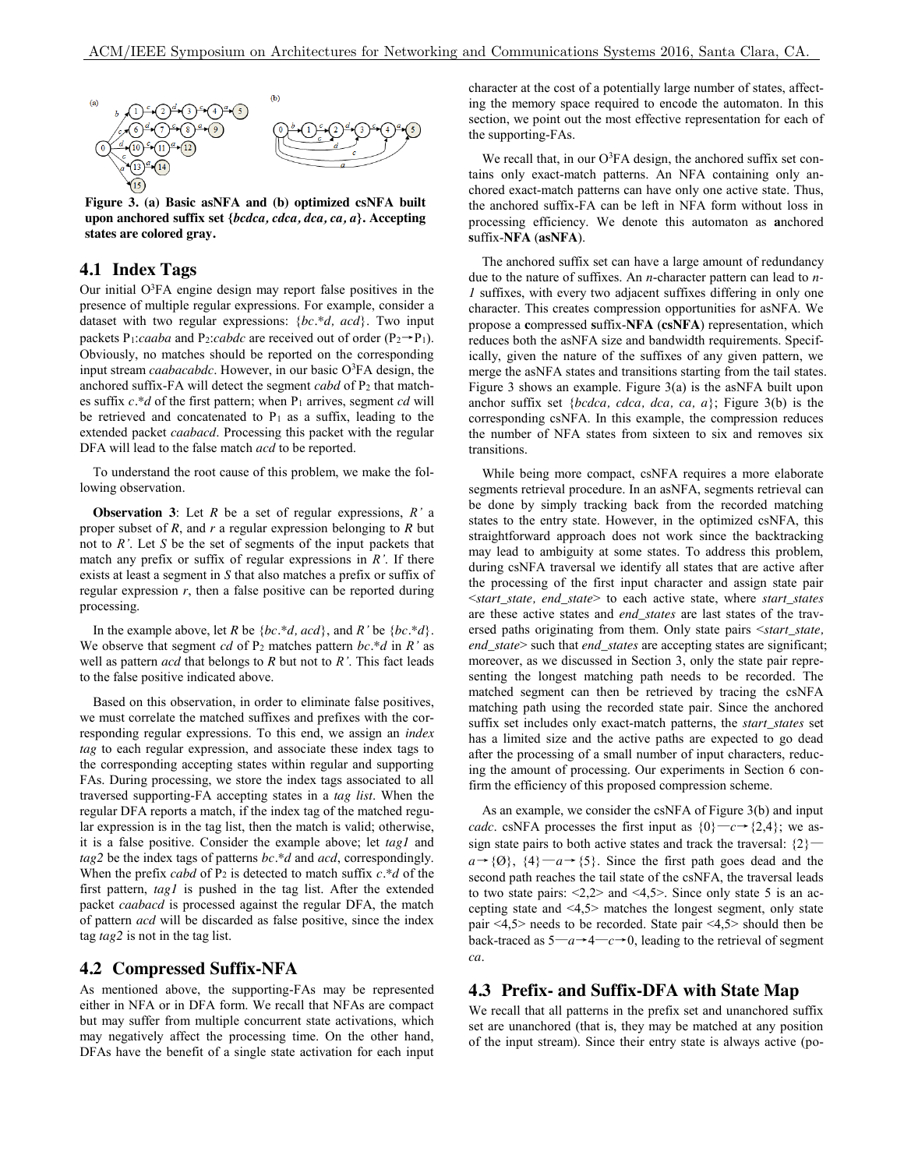

**Figure 3. (a) Basic asNFA and (b) optimized csNFA built upon anchored suffix set {***bcdca, cdca, dca, ca, a***}. Accepting states are colored gray.**

## **4.1 Index Tags**

Our initial O3FA engine design may report false positives in the presence of multiple regular expressions. For example, consider a dataset with two regular expressions: {*bc.\*d, acd*}. Two input packets P<sub>1</sub>:*caaba* and P<sub>2</sub>:*cabdc* are received out of order (P<sub>2</sub>→P<sub>1</sub>). Obviously, no matches should be reported on the corresponding input stream *caabacabdc*. However, in our basic O3FA design, the anchored suffix-FA will detect the segment *cabd* of P<sub>2</sub> that matches suffix  $c.*d$  of the first pattern; when  $P_1$  arrives, segment *cd* will be retrieved and concatenated to  $P_1$  as a suffix, leading to the extended packet *caabacd*. Processing this packet with the regular DFA will lead to the false match *acd* to be reported.

To understand the root cause of this problem, we make the following observation.

**Observation 3**: Let *R* be a set of regular expressions, *R'* a proper subset of *R*, and *r* a regular expression belonging to *R* but not to *R'*. Let *S* be the set of segments of the input packets that match any prefix or suffix of regular expressions in *R'*. If there exists at least a segment in *S* that also matches a prefix or suffix of regular expression  $r$ , then a false positive can be reported during processing.

In the example above, let *R* be {*bc.\*d, acd*}, and *R'* be {*bc.\*d*}. We observe that segment *cd* of  $P_2$  matches pattern *bc*.\**d* in *R'* as well as pattern *acd* that belongs to *R* but not to *R'*. This fact leads to the false positive indicated above.

Based on this observation, in order to eliminate false positives, we must correlate the matched suffixes and prefixes with the corresponding regular expressions. To this end, we assign an *index tag* to each regular expression, and associate these index tags to the corresponding accepting states within regular and supporting FAs. During processing, we store the index tags associated to all traversed supporting-FA accepting states in a *tag list*. When the regular DFA reports a match, if the index tag of the matched regular expression is in the tag list, then the match is valid; otherwise, it is a false positive. Consider the example above; let *tag1* and *tag2* be the index tags of patterns *bc.\*d* and *acd*, correspondingly. When the prefix *cabd* of  $P_2$  is detected to match suffix  $c.*d$  of the first pattern, *tag1* is pushed in the tag list. After the extended packet *caabacd* is processed against the regular DFA, the match of pattern *acd* will be discarded as false positive, since the index tag *tag2* is not in the tag list.

#### **4.2 Compressed Suffix-NFA**

As mentioned above, the supporting-FAs may be represented either in NFA or in DFA form. We recall that NFAs are compact but may suffer from multiple concurrent state activations, which may negatively affect the processing time. On the other hand, DFAs have the benefit of a single state activation for each input

character at the cost of a potentially large number of states, affecting the memory space required to encode the automaton. In this section, we point out the most effective representation for each of the supporting-FAs.

We recall that, in our  $O<sup>3</sup>FA$  design, the anchored suffix set contains only exact-match patterns. An NFA containing only anchored exact-match patterns can have only one active state. Thus, the anchored suffix-FA can be left in NFA form without loss in processing efficiency. We denote this automaton as **a**nchored **s**uffix-**NFA** (**asNFA**).

The anchored suffix set can have a large amount of redundancy due to the nature of suffixes. An *n*-character pattern can lead to *n-1* suffixes, with every two adjacent suffixes differing in only one character. This creates compression opportunities for asNFA. We propose a **c**ompressed **s**uffix-**NFA** (**csNFA**) representation, which reduces both the asNFA size and bandwidth requirements. Specifically, given the nature of the suffixes of any given pattern, we merge the asNFA states and transitions starting from the tail states. Figure 3 shows an example. Figure 3(a) is the asNFA built upon anchor suffix set {*bcdca, cdca, dca, ca, a*}; Figure 3(b) is the corresponding csNFA. In this example, the compression reduces the number of NFA states from sixteen to six and removes six transitions.

While being more compact, csNFA requires a more elaborate segments retrieval procedure. In an asNFA, segments retrieval can be done by simply tracking back from the recorded matching states to the entry state. However, in the optimized csNFA, this straightforward approach does not work since the backtracking may lead to ambiguity at some states. To address this problem, during csNFA traversal we identify all states that are active after the processing of the first input character and assign state pair <*start\_state, end\_state*> to each active state, where *start\_states* are these active states and *end\_states* are last states of the traversed paths originating from them. Only state pairs <*start\_state, end\_state*> such that *end\_states* are accepting states are significant; moreover, as we discussed in Section 3, only the state pair representing the longest matching path needs to be recorded. The matched segment can then be retrieved by tracing the csNFA matching path using the recorded state pair. Since the anchored suffix set includes only exact-match patterns, the *start\_states* set has a limited size and the active paths are expected to go dead after the processing of a small number of input characters, reducing the amount of processing. Our experiments in Section 6 confirm the efficiency of this proposed compression scheme.

As an example, we consider the csNFA of Figure 3(b) and input *cadc*. csNFA processes the first input as  $\{0\}$  –  $c \rightarrow \{2,4\}$ ; we assign state pairs to both active states and track the traversal:  $\{2\}$   $a \rightarrow \{0\}$ ,  $\{4\}$  — $a \rightarrow \{5\}$ . Since the first path goes dead and the second path reaches the tail state of the csNFA, the traversal leads to two state pairs:  $\langle 2, 2 \rangle$  and  $\langle 4, 5 \rangle$ . Since only state 5 is an accepting state and <4,5> matches the longest segment, only state pair <4,5> needs to be recorded. State pair <4,5> should then be back-traced as  $5 - a \rightarrow 4 - c \rightarrow 0$ , leading to the retrieval of segment *ca*.

## **4.3 Prefix- and Suffix-DFA with State Map**

We recall that all patterns in the prefix set and unanchored suffix set are unanchored (that is, they may be matched at any position of the input stream). Since their entry state is always active (po-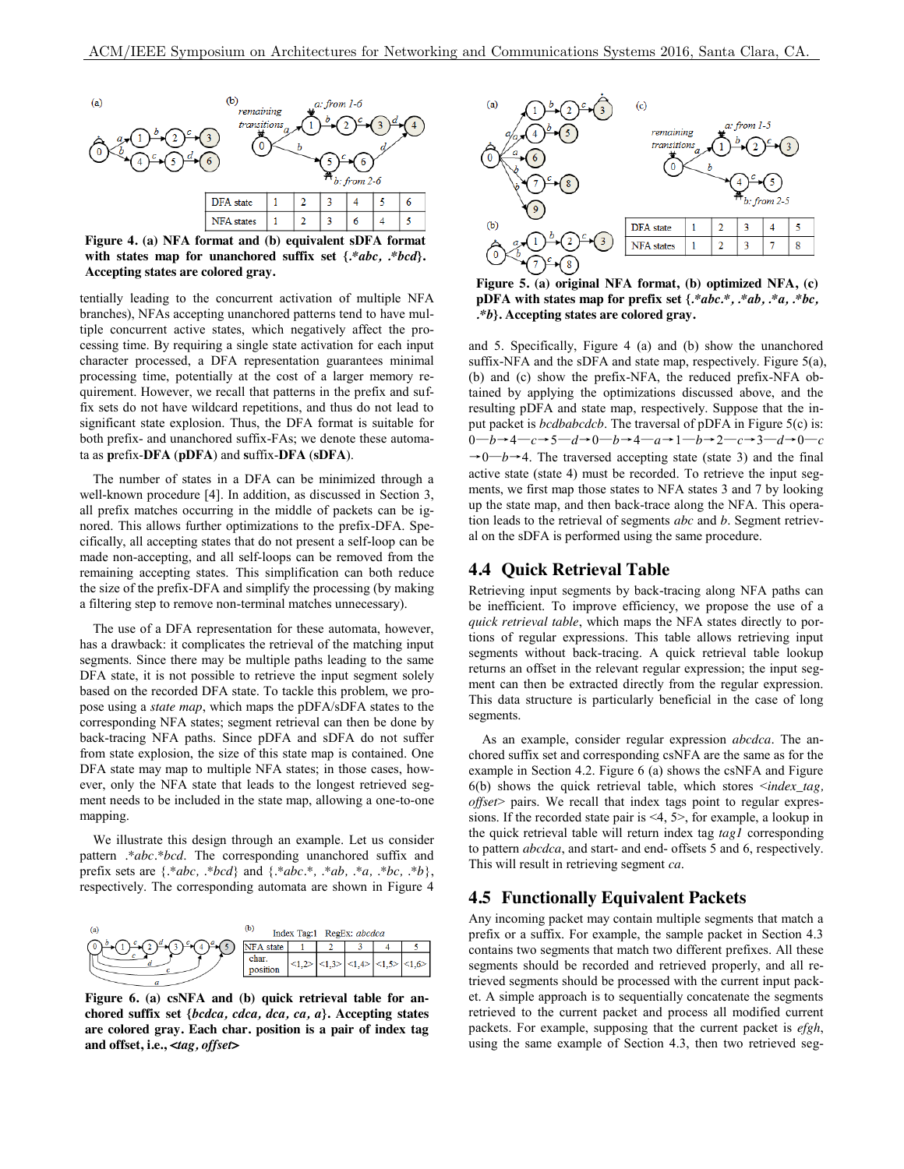

**Figure 4. (a) NFA format and (b) equivalent sDFA format with states map for unanchored suffix set {***.\*abc, .\*bcd***}.**  Accepting states are colored gray.<br>Accepting states are colored gray.<br>Figure 5. (a) original NFA format, (b) optimized NFA, (c)

tentially leading to the concurrent activation of multiple NFA branches), NFAs accepting unanchored patterns tend to have multiple concurrent active states, which negatively affect the processing time. By requiring a single state activation for each input character processed, a DFA representation guarantees minimal processing time, potentially at the cost of a larger memory requirement. However, we recall that patterns in the prefix and suffix sets do not have wildcard repetitions, and thus do not lead to significant state explosion. Thus, the DFA format is suitable for both prefix- and unanchored suffix-FAs; we denote these automata as **p**refix-**DFA** (**pDFA**) and **s**uffix-**DFA** (**sDFA**).

The number of states in a DFA can be minimized through a well-known procedure [4]. In addition, as discussed in Section 3, all prefix matches occurring in the middle of packets can be ignored. This allows further optimizations to the prefix-DFA. Specifically, all accepting states that do not present a self-loop can be made non-accepting, and all self-loops can be removed from the remaining accepting states. This simplification can both reduce the size of the prefix-DFA and simplify the processing (by making a filtering step to remove non-terminal matches unnecessary).

The use of a DFA representation for these automata, however, has a drawback: it complicates the retrieval of the matching input segments. Since there may be multiple paths leading to the same DFA state, it is not possible to retrieve the input segment solely based on the recorded DFA state. To tackle this problem, we propose using a *state map*, which maps the pDFA/sDFA states to the corresponding NFA states; segment retrieval can then be done by back-tracing NFA paths. Since pDFA and sDFA do not suffer from state explosion, the size of this state map is contained. One DFA state may map to multiple NFA states; in those cases, however, only the NFA state that leads to the longest retrieved segment needs to be included in the state map, allowing a one-to-one mapping.

We illustrate this design through an example. Let us consider pattern *.\*abc.\*bcd*. The corresponding unanchored suffix and prefix sets are {*.\*abc, .\*bcd*} and {*.\*abc.\*, .\*ab, .\*a, .\*bc, .\*b*}, respectively. The corresponding automata are shown in Figure 4



**Figure 6. (a) csNFA and (b) quick retrieval table for anchored suffix set {***bcdca, cdca, dca, ca, a***}. Accepting states are colored gray. Each char. position is a pair of index tag and offset, i.e., <***tag, offset***>**



**pDFA with states map for prefix set {***.\*abc.\*, .\*ab, .\*a, .\*bc, .\*b***}. Accepting states are colored gray.**

and 5. Specifically, Figure 4 (a) and (b) show the unanchored suffix-NFA and the sDFA and state map, respectively. Figure 5(a), (b) and (c) show the prefix-NFA, the reduced prefix-NFA obtained by applying the optimizations discussed above, and the resulting pDFA and state map, respectively. Suppose that the input packet is *bcdbabcdcb*. The traversal of pDFA in Figure 5(c) is: 0—*b*→4—*c*→5—*d*→0—*b*→4—*a*→1—*b*→2—*c*→3—*d*→0—*c*  $\rightarrow$ 0—*b* $\rightarrow$ 4. The traversed accepting state (state 3) and the final active state (state 4) must be recorded. To retrieve the input segments, we first map those states to NFA states 3 and 7 by looking up the state map, and then back-trace along the NFA. This operation leads to the retrieval of segments *abc* and *b*. Segment retrieval on the sDFA is performed using the same procedure.

#### **4.4 Quick Retrieval Table**

Retrieving input segments by back-tracing along NFA paths can be inefficient. To improve efficiency, we propose the use of a *quick retrieval table*, which maps the NFA states directly to portions of regular expressions. This table allows retrieving input segments without back-tracing. A quick retrieval table lookup returns an offset in the relevant regular expression; the input segment can then be extracted directly from the regular expression. This data structure is particularly beneficial in the case of long segments.

As an example, consider regular expression *abcdca*. The anchored suffix set and corresponding csNFA are the same as for the example in Section 4.2. Figure 6 (a) shows the csNFA and Figure 6(b) shows the quick retrieval table, which stores <*index\_tag, offset*> pairs. We recall that index tags point to regular expressions. If the recorded state pair is <4, 5>, for example, a lookup in the quick retrieval table will return index tag *tag1* corresponding to pattern *abcdca*, and start- and end- offsets 5 and 6, respectively. This will result in retrieving segment *ca*.

#### **4.5 Functionally Equivalent Packets**

Any incoming packet may contain multiple segments that match a prefix or a suffix. For example, the sample packet in Section 4.3 contains two segments that match two different prefixes. All these segments should be recorded and retrieved properly, and all retrieved segments should be processed with the current input packet. A simple approach is to sequentially concatenate the segments retrieved to the current packet and process all modified current packets. For example, supposing that the current packet is *efgh*, using the same example of Section 4.3, then two retrieved seg-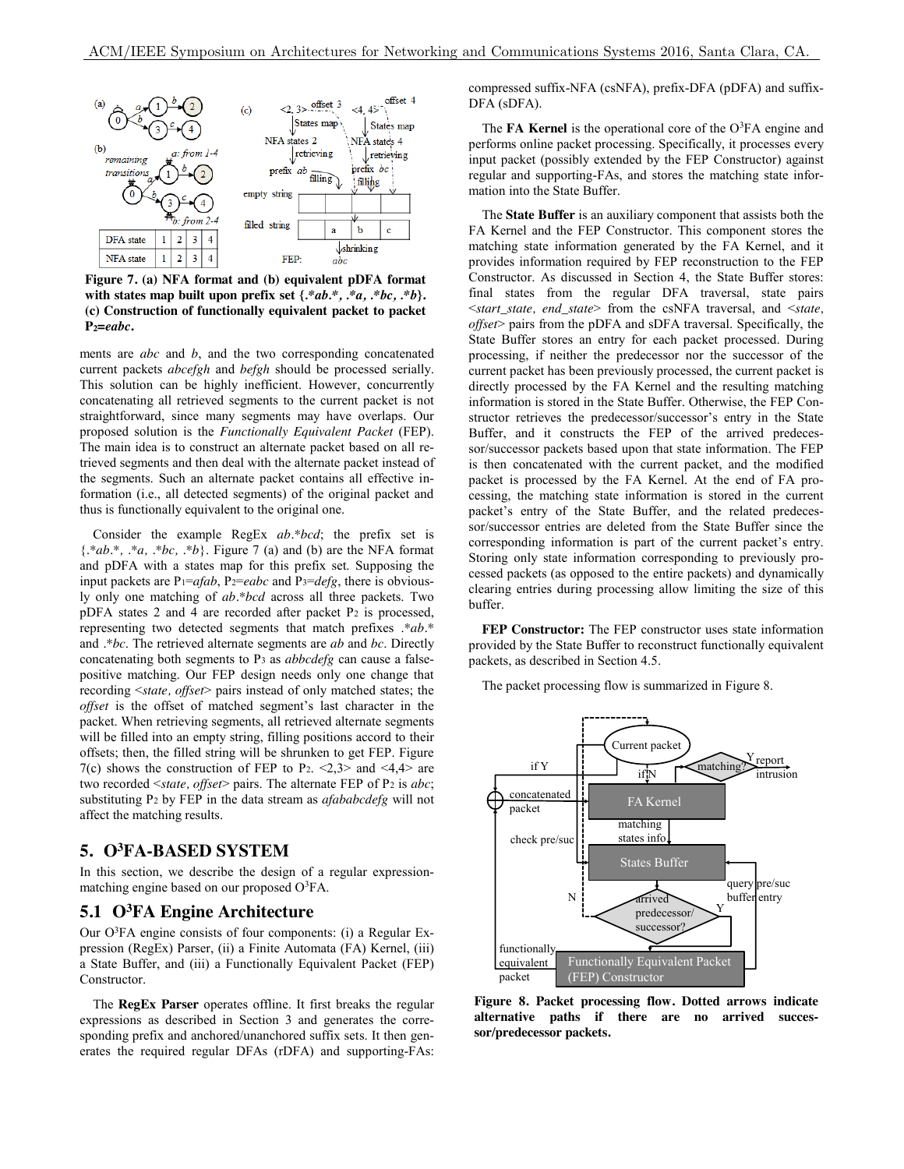

**Figure 7. (a) NFA format and (b) equivalent pDFA format with states map built upon prefix set {***.\*ab.\*, .\*a, .\*bc, .\*b***}. (c) Construction of functionally equivalent packet to packet P2=***eabc***.**

ments are *abc* and *b*, and the two corresponding concatenated current packets *abcefgh* and *befgh* should be processed serially. This solution can be highly inefficient. However, concurrently concatenating all retrieved segments to the current packet is not straightforward, since many segments may have overlaps. Our proposed solution is the *Functionally Equivalent Packet* (FEP). The main idea is to construct an alternate packet based on all retrieved segments and then deal with the alternate packet instead of the segments. Such an alternate packet contains all effective information (i.e., all detected segments) of the original packet and thus is functionally equivalent to the original one.

Consider the example RegEx *ab.\*bcd*; the prefix set is {*.\*ab.\*, .\*a, .\*bc, .\*b*}. Figure 7 (a) and (b) are the NFA format and pDFA with a states map for this prefix set. Supposing the input packets are  $P_1 = afab$ ,  $P_2 = eabc$  and  $P_3 = defg$ , there is obviously only one matching of *ab.\*bcd* across all three packets. Two pDFA states 2 and 4 are recorded after packet P2 is processed, representing two detected segments that match prefixes *.\*ab.\** and *.\*bc*. The retrieved alternate segments are *ab* and *bc*. Directly concatenating both segments to P3 as *abbcdefg* can cause a falsepositive matching. Our FEP design needs only one change that recording <*state, offset*> pairs instead of only matched states; the *offset* is the offset of matched segment's last character in the packet. When retrieving segments, all retrieved alternate segments will be filled into an empty string, filling positions accord to their offsets; then, the filled string will be shrunken to get FEP. Figure 7(c) shows the construction of FEP to  $P_2$ . <2,3> and <4,4> are two recorded <*state, offset*> pairs. The alternate FEP of P2 is *abc*; substituting P2 by FEP in the data stream as *afababcdefg* will not affect the matching results.

## **5. O3FA-BASED SYSTEM**

In this section, we describe the design of a regular expressionmatching engine based on our proposed  $O<sup>3</sup>FA$ .

## **5.1 O3FA Engine Architecture**

Our O3FA engine consists of four components: (i) a Regular Expression (RegEx) Parser, (ii) a Finite Automata (FA) Kernel, (iii) a State Buffer, and (iii) a Functionally Equivalent Packet (FEP) Constructor.

The **RegEx Parser** operates offline. It first breaks the regular expressions as described in Section 3 and generates the corresponding prefix and anchored/unanchored suffix sets. It then generates the required regular DFAs (rDFA) and supporting-FAs: compressed suffix-NFA (csNFA), prefix-DFA (pDFA) and suffix-DFA (sDFA).

The **FA Kernel** is the operational core of the O<sup>3</sup>FA engine and performs online packet processing. Specifically, it processes every input packet (possibly extended by the FEP Constructor) against regular and supporting-FAs, and stores the matching state information into the State Buffer.

The **State Buffer** is an auxiliary component that assists both the FA Kernel and the FEP Constructor. This component stores the matching state information generated by the FA Kernel, and it provides information required by FEP reconstruction to the FEP Constructor. As discussed in Section 4, the State Buffer stores: final states from the regular DFA traversal, state pairs <*start\_state, end\_state*> from the csNFA traversal, and <*state, offset*> pairs from the pDFA and sDFA traversal. Specifically, the State Buffer stores an entry for each packet processed. During processing, if neither the predecessor nor the successor of the current packet has been previously processed, the current packet is directly processed by the FA Kernel and the resulting matching information is stored in the State Buffer. Otherwise, the FEP Constructor retrieves the predecessor/successor's entry in the State Buffer, and it constructs the FEP of the arrived predecessor/successor packets based upon that state information. The FEP is then concatenated with the current packet, and the modified packet is processed by the FA Kernel. At the end of FA processing, the matching state information is stored in the current packet's entry of the State Buffer, and the related predecessor/successor entries are deleted from the State Buffer since the corresponding information is part of the current packet's entry. Storing only state information corresponding to previously processed packets (as opposed to the entire packets) and dynamically clearing entries during processing allow limiting the size of this buffer.

**FEP Constructor:** The FEP constructor uses state information provided by the State Buffer to reconstruct functionally equivalent packets, as described in Section 4.5.

The packet processing flow is summarized in Figure 8.



**Figure 8. Packet processing flow. Dotted arrows indicate alternative paths if there are no arrived successor/predecessor packets.**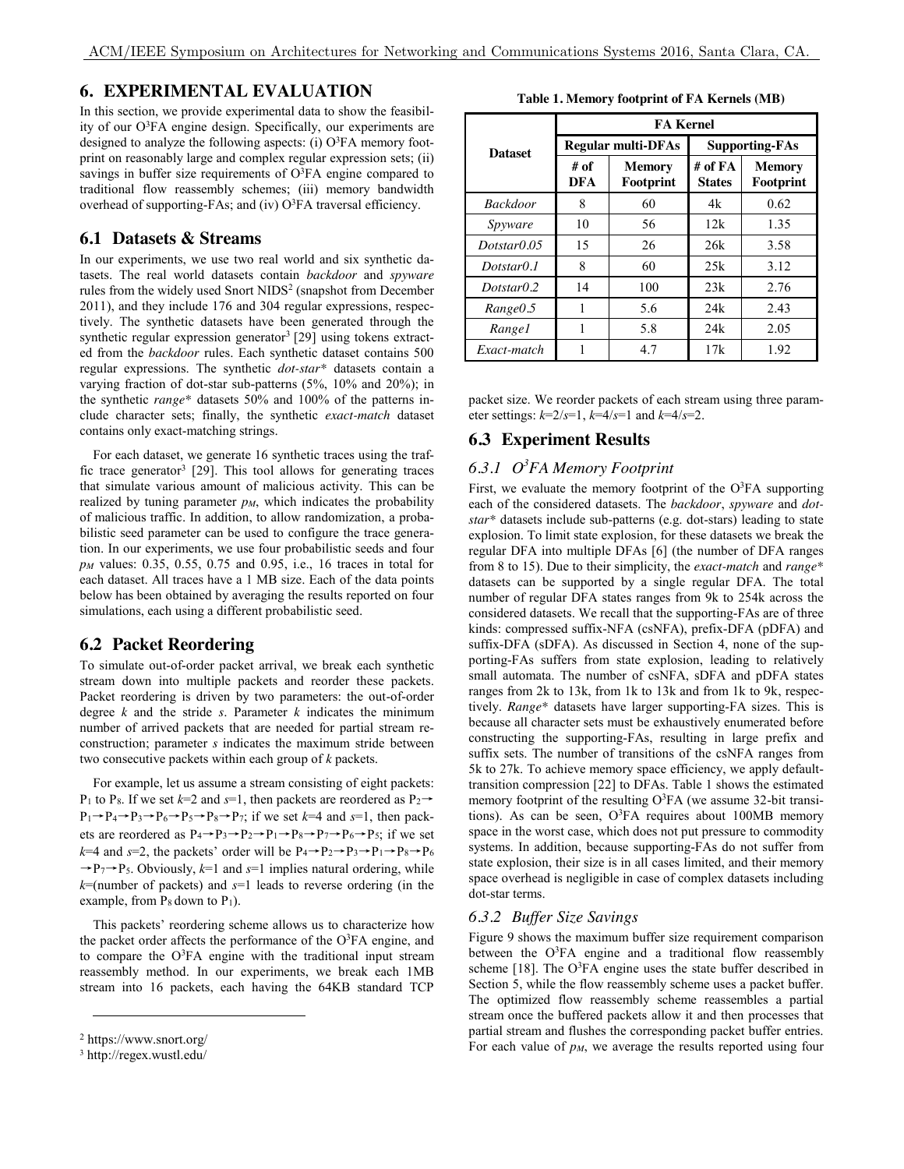## **6. EXPERIMENTAL EVALUATION**

In this section, we provide experimental data to show the feasibility of our O3 FA engine design. Specifically, our experiments are designed to analyze the following aspects: (i)  $O<sup>3</sup>FA$  memory footprint on reasonably large and complex regular expression sets; (ii) savings in buffer size requirements of  $O<sup>3</sup>FA$  engine compared to traditional flow reassembly schemes; (iii) memory bandwidth overhead of supporting-FAs; and  $(iv)$   $O<sup>3</sup>FA$  traversal efficiency.

### **6.1 Datasets & Streams**

In our experiments, we use two real world and six synthetic datasets. The real world datasets contain *backdoor* and *spyware* rules from the widely used Snort NIDS<sup>2</sup> (snapshot from December 2011), and they include 176 and 304 regular expressions, respectively. The synthetic datasets have been generated through the synthetic regular expression generator<sup>3</sup> [29] using tokens extracted from the *backdoor* rules. Each synthetic dataset contains 500 regular expressions. The synthetic *dot-star\** datasets contain a varying fraction of dot-star sub-patterns (5%, 10% and 20%); in the synthetic *range\** datasets 50% and 100% of the patterns include character sets; finally, the synthetic *exact-match* dataset contains only exact-matching strings.

For each dataset, we generate 16 synthetic traces using the traffic trace generator<sup>3</sup> [29]. This tool allows for generating traces that simulate various amount of malicious activity. This can be realized by tuning parameter  $p_M$ , which indicates the probability of malicious traffic. In addition, to allow randomization, a probabilistic seed parameter can be used to configure the trace generation. In our experiments, we use four probabilistic seeds and four *pM* values: 0.35, 0.55, 0.75 and 0.95, i.e., 16 traces in total for each dataset. All traces have a 1 MB size. Each of the data points below has been obtained by averaging the results reported on four simulations, each using a different probabilistic seed.

#### **6.2 Packet Reordering**

To simulate out-of-order packet arrival, we break each synthetic stream down into multiple packets and reorder these packets. Packet reordering is driven by two parameters: the out-of-order degree *k* and the stride *s*. Parameter *k* indicates the minimum number of arrived packets that are needed for partial stream reconstruction; parameter *s* indicates the maximum stride between two consecutive packets within each group of *k* packets.

For example, let us assume a stream consisting of eight packets: P<sub>1</sub> to P<sub>8</sub>. If we set  $k=2$  and  $s=1$ , then packets are reordered as P<sub>2</sub>→  $P_1 \rightarrow P_4 \rightarrow P_3 \rightarrow P_6 \rightarrow P_5 \rightarrow P_8 \rightarrow P_7$ ; if we set  $k=4$  and  $s=1$ , then packets are reordered as  $P_4 \rightarrow P_3 \rightarrow P_2 \rightarrow P_1 \rightarrow P_8 \rightarrow P_7 \rightarrow P_6 \rightarrow P_5$ ; if we set  $k=4$  and  $s=2$ , the packets' order will be  $P_4 \rightarrow P_2 \rightarrow P_3 \rightarrow P_1 \rightarrow P_8 \rightarrow P_6$  $\rightarrow P_7 \rightarrow P_5$ . Obviously,  $k=1$  and  $s=1$  implies natural ordering, while *k*=(number of packets) and *s*=1 leads to reverse ordering (in the example, from  $P_8$  down to  $P_1$ ).

This packets' reordering scheme allows us to characterize how the packet order affects the performance of the O<sup>3</sup>FA engine, and to compare the O3FA engine with the traditional input stream reassembly method. In our experiments, we break each 1MB stream into 16 packets, each having the 64KB standard TCP

 $\overline{a}$ 

**Table 1. Memory footprint of FA Kernels (MB)**

|                 | <b>FA Kernel</b> |                            |                              |                            |  |  |  |  |
|-----------------|------------------|----------------------------|------------------------------|----------------------------|--|--|--|--|
| <b>Dataset</b>  |                  | <b>Regular multi-DFAs</b>  | <b>Supporting-FAs</b>        |                            |  |  |  |  |
|                 | # of<br>DFA      | <b>Memory</b><br>Footprint | $#$ of $FA$<br><b>States</b> | <b>Memory</b><br>Footprint |  |  |  |  |
| <b>Backdoor</b> | 8                | 60                         | 4k                           | 0.62                       |  |  |  |  |
| Spyware         | 10               | 56                         | 12k                          | 1.35                       |  |  |  |  |
| Dotstar0.05     | 15               | 26                         | 26k                          | 3.58                       |  |  |  |  |
| Dotstar0.1      | 8                | 60                         | 25k                          | 3.12                       |  |  |  |  |
| Dotstar 0.2     | 14               | 100                        | 23k                          | 2.76                       |  |  |  |  |
| Range0.5        |                  | 5.6                        | 24k                          | 2.43                       |  |  |  |  |
| <i>Rangel</i>   | 1                | 5.8                        | 24k                          | 2.05                       |  |  |  |  |
| Exact-match     |                  | 4.7                        | 17k                          | 1.92                       |  |  |  |  |

packet size. We reorder packets of each stream using three parameter settings:  $k=2/s=1$ ,  $k=4/s=1$  and  $k=4/s=2$ .

## **6.3 Experiment Results**

# *6.3.1 O3 FA Memory Footprint*

First, we evaluate the memory footprint of the  $O<sup>3</sup>FA$  supporting each of the considered datasets. The *backdoor*, *spyware* and *dotstar\** datasets include sub-patterns (e.g. dot-stars) leading to state explosion. To limit state explosion, for these datasets we break the regular DFA into multiple DFAs [6] (the number of DFA ranges from 8 to 15). Due to their simplicity, the *exact-match* and *range\** datasets can be supported by a single regular DFA. The total number of regular DFA states ranges from 9k to 254k across the considered datasets. We recall that the supporting-FAs are of three kinds: compressed suffix-NFA (csNFA), prefix-DFA (pDFA) and suffix-DFA (sDFA). As discussed in Section 4, none of the supporting-FAs suffers from state explosion, leading to relatively small automata. The number of csNFA, sDFA and pDFA states ranges from 2k to 13k, from 1k to 13k and from 1k to 9k, respectively. *Range\** datasets have larger supporting-FA sizes. This is because all character sets must be exhaustively enumerated before constructing the supporting-FAs, resulting in large prefix and suffix sets. The number of transitions of the csNFA ranges from 5k to 27k. To achieve memory space efficiency, we apply defaulttransition compression [22] to DFAs. Table 1 shows the estimated memory footprint of the resulting O<sup>3</sup>FA (we assume 32-bit transitions). As can be seen,  $O<sup>3</sup>FA$  requires about 100MB memory space in the worst case, which does not put pressure to commodity systems. In addition, because supporting-FAs do not suffer from state explosion, their size is in all cases limited, and their memory space overhead is negligible in case of complex datasets including dot-star terms.

#### *6.3.2 Buffer Size Savings*

Figure 9 shows the maximum buffer size requirement comparison between the O<sup>3</sup>FA engine and a traditional flow reassembly scheme  $[18]$ . The O<sup>3</sup>FA engine uses the state buffer described in Section 5, while the flow reassembly scheme uses a packet buffer. The optimized flow reassembly scheme reassembles a partial stream once the buffered packets allow it and then processes that partial stream and flushes the corresponding packet buffer entries. For each value of  $p<sub>M</sub>$ , we average the results reported using four

<sup>2</sup> https://www.snort.org/

<sup>3</sup> http://regex.wustl.edu/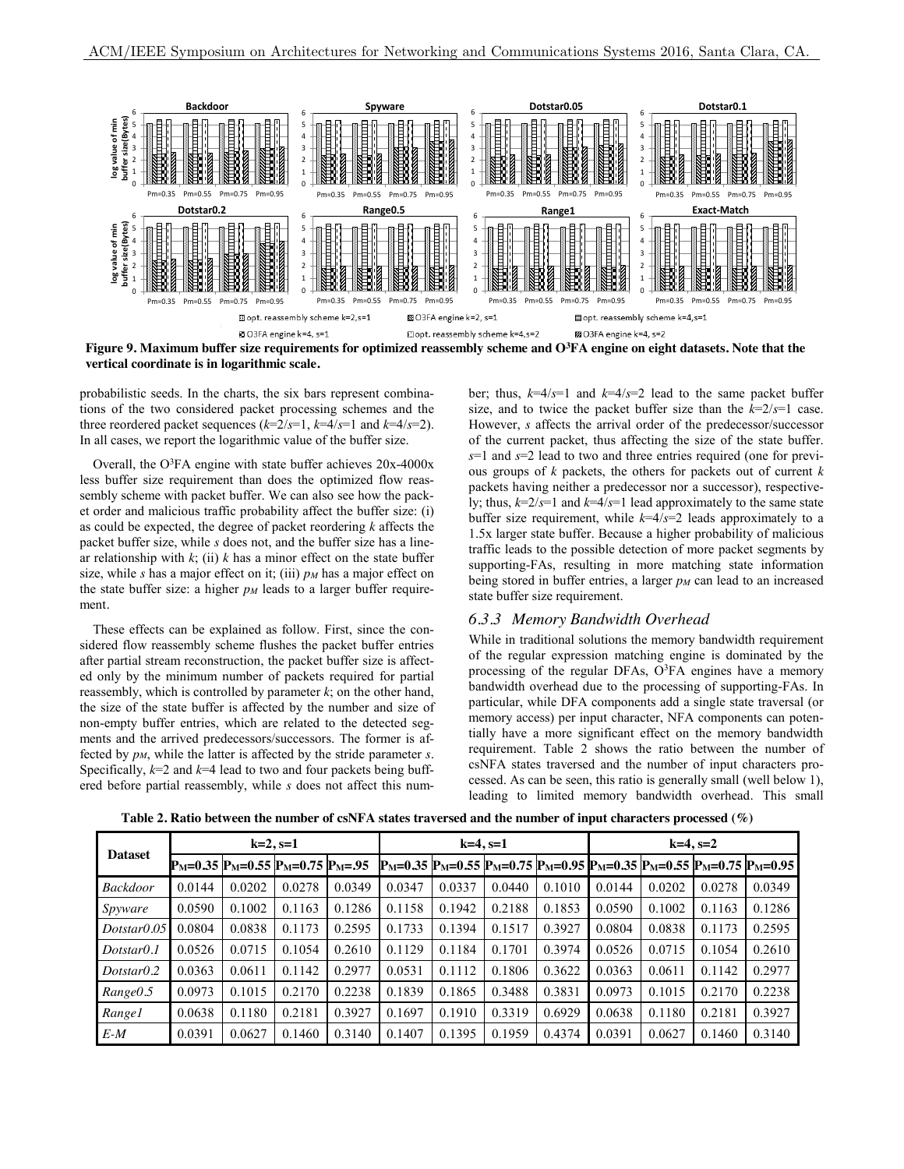

Figure 9. Maximum buffer size requirements for optimized reassembly scheme and O<sup>3</sup>FA engine on eight datasets. Note that the **vertical coordinate is in logarithmic scale.**

probabilistic seeds. In the charts, the six bars represent combinations of the two considered packet processing schemes and the three reordered packet sequences  $(k=2/s=1, k=4/s=1$  and  $k=4/s=2$ ). In all cases, we report the logarithmic value of the buffer size.

Overall, the  $O<sup>3</sup>FA$  engine with state buffer achieves  $20x-4000x$ less buffer size requirement than does the optimized flow reassembly scheme with packet buffer. We can also see how the packet order and malicious traffic probability affect the buffer size: (i) as could be expected, the degree of packet reordering *k* affects the packet buffer size, while *s* does not, and the buffer size has a linear relationship with  $k$ ; (ii)  $k$  has a minor effect on the state buffer size, while *s* has a major effect on it; (iii)  $p<sub>M</sub>$  has a major effect on the state buffer size: a higher  $p_M$  leads to a larger buffer requirement*.* 

These effects can be explained as follow. First, since the considered flow reassembly scheme flushes the packet buffer entries after partial stream reconstruction, the packet buffer size is affected only by the minimum number of packets required for partial reassembly, which is controlled by parameter *k*; on the other hand, the size of the state buffer is affected by the number and size of non-empty buffer entries, which are related to the detected segments and the arrived predecessors/successors. The former is affected by *pM*, while the latter is affected by the stride parameter *s*. Specifically, *k*=2 and *k*=4 lead to two and four packets being buffered before partial reassembly, while *s* does not affect this num-

ber; thus,  $k=4/s=1$  and  $k=4/s=2$  lead to the same packet buffer size, and to twice the packet buffer size than the  $k=2/s=1$  case. However, *s* affects the arrival order of the predecessor/successor of the current packet, thus affecting the size of the state buffer. *s*=1 and *s*=2 lead to two and three entries required (one for previous groups of *k* packets, the others for packets out of current *k* packets having neither a predecessor nor a successor), respectively; thus,  $k=2/s=1$  and  $k=4/s=1$  lead approximately to the same state buffer size requirement, while  $k=4/s=2$  leads approximately to a 1.5x larger state buffer. Because a higher probability of malicious traffic leads to the possible detection of more packet segments by supporting-FAs, resulting in more matching state information being stored in buffer entries, a larger  $p<sub>M</sub>$  can lead to an increased state buffer size requirement.

#### *6.3.3 Memory Bandwidth Overhead*

While in traditional solutions the memory bandwidth requirement of the regular expression matching engine is dominated by the processing of the regular DFAs,  $O<sup>3</sup>FA$  engines have a memory bandwidth overhead due to the processing of supporting-FAs. In particular, while DFA components add a single state traversal (or memory access) per input character, NFA components can potentially have a more significant effect on the memory bandwidth requirement. Table 2 shows the ratio between the number of csNFA states traversed and the number of input characters processed. As can be seen, this ratio is generally small (well below 1), leading to limited memory bandwidth overhead. This small

| Table 2. Ratio between the number of csNFA states traversed and the number of input characters processed (%) |  |
|--------------------------------------------------------------------------------------------------------------|--|
|--------------------------------------------------------------------------------------------------------------|--|

| <b>Dataset</b>  | $k=2, s=1$                                  |        |        |        | $k=4, s=1$ |        |        |                                                                                         | $k=4, s=2$ |        |        |        |
|-----------------|---------------------------------------------|--------|--------|--------|------------|--------|--------|-----------------------------------------------------------------------------------------|------------|--------|--------|--------|
|                 | $P_M=0.35$ $P_M=0.55$ $P_M=0.75$ $P_M=0.95$ |        |        |        |            |        |        | $P_M=0.35$ $P_M=0.55$ $P_M=0.75$ $P_M=0.95$ $P_M=0.35$ $P_M=0.55$ $P_M=0.75$ $P_M=0.95$ |            |        |        |        |
| <b>Backdoor</b> | 0.0144                                      | 0.0202 | 0.0278 | 0.0349 | 0.0347     | 0.0337 | 0.0440 | 0.1010                                                                                  | 0.0144     | 0.0202 | 0.0278 | 0.0349 |
| Spyware         | 0.0590                                      | 0.1002 | 0.1163 | 0.1286 | 0.1158     | 0.1942 | 0.2188 | 0.1853                                                                                  | 0.0590     | 0.1002 | 0.1163 | 0.1286 |
| Dotstar0.05     | 0.0804                                      | 0.0838 | 0.1173 | 0.2595 | 0.1733     | 0.1394 | 0.1517 | 0.3927                                                                                  | 0.0804     | 0.0838 | 0.1173 | 0.2595 |
| Dotstar0.1      | 0.0526                                      | 0.0715 | 0.1054 | 0.2610 | 0.1129     | 0.1184 | 0.1701 | 0.3974                                                                                  | 0.0526     | 0.0715 | 0.1054 | 0.2610 |
| Dotstar0.2      | 0.0363                                      | 0.0611 | 0.1142 | 0.2977 | 0.0531     | 0.1112 | 0.1806 | 0.3622                                                                                  | 0.0363     | 0.0611 | 0.1142 | 0.2977 |
| Range0.5        | 0.0973                                      | 0.1015 | 0.2170 | 0.2238 | 0.1839     | 0.1865 | 0.3488 | 0.3831                                                                                  | 0.0973     | 0.1015 | 0.2170 | 0.2238 |
| <i>Rangel</i>   | 0.0638                                      | 0.1180 | 0.2181 | 0.3927 | 0.1697     | 0.1910 | 0.3319 | 0.6929                                                                                  | 0.0638     | 0.1180 | 0.2181 | 0.3927 |
| $E-M$           | 0.0391                                      | 0.0627 | 0.1460 | 0.3140 | 0.1407     | 0.1395 | 0.1959 | 0.4374                                                                                  | 0.0391     | 0.0627 | 0.1460 | 0.3140 |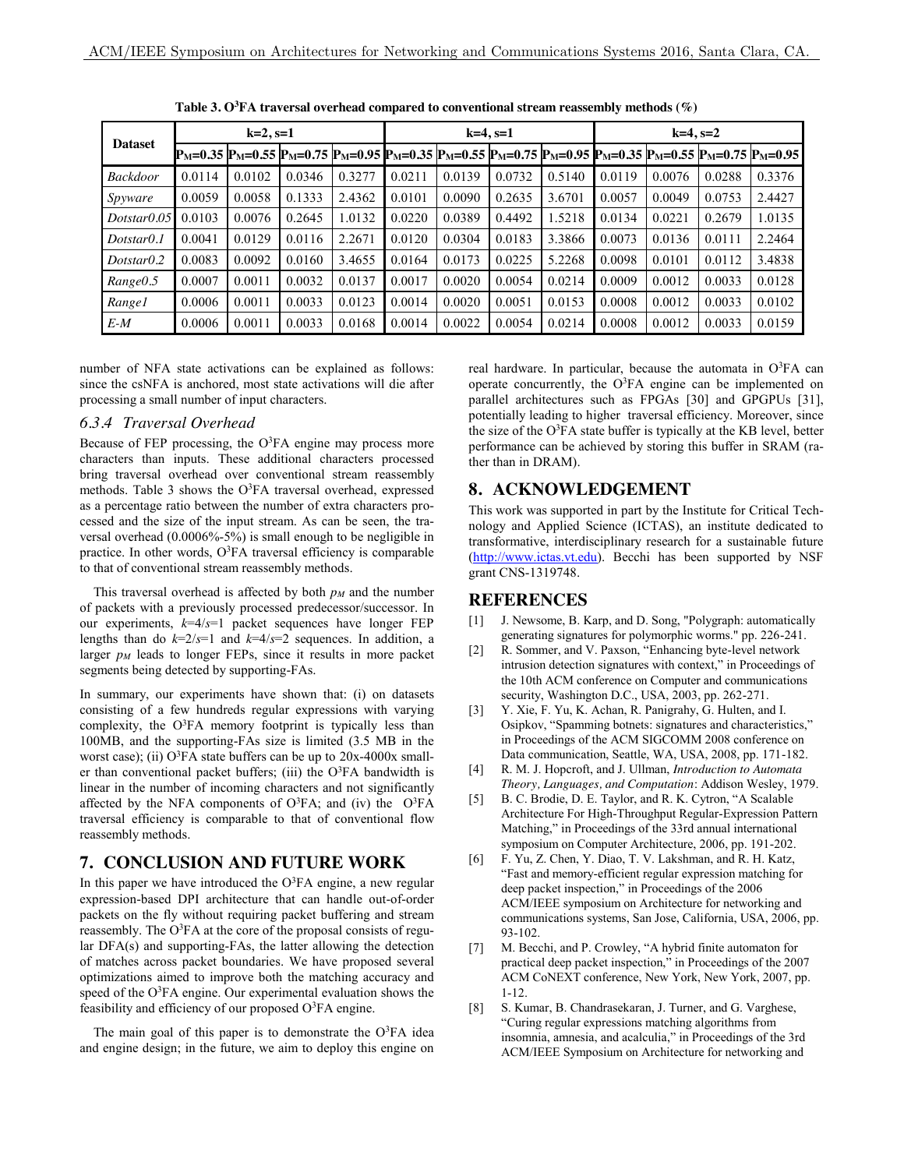| <b>Dataset</b>  | $k=2, s=1$ |        |        |        |        |        | $k=4$ , $s=1$ |                                                                                                                                     | $k=4, s=2$ |        |        |        |
|-----------------|------------|--------|--------|--------|--------|--------|---------------|-------------------------------------------------------------------------------------------------------------------------------------|------------|--------|--------|--------|
|                 |            |        |        |        |        |        |               | $P_M=0.35$ $P_M=0.55$ $P_M=0.75$ $P_M=0.95$ $P_M=0.35$ $P_M=0.55$ $P_M=0.75$ $P_M=0.95$ $P_M=0.35$ $P_M=0.55$ $P_M=0.75$ $P_M=0.95$ |            |        |        |        |
| <b>Backdoor</b> | 0.0114     | 0.0102 | 0.0346 | 0.3277 | 0.0211 | 0.0139 | 0.0732        | 0.5140                                                                                                                              | 0.0119     | 0.0076 | 0.0288 | 0.3376 |
| Spyware         | 0.0059     | 0.0058 | 0.1333 | 2.4362 | 0.0101 | 0.0090 | 0.2635        | 3.6701                                                                                                                              | 0.0057     | 0.0049 | 0.0753 | 2.4427 |
| Dotstar0.05     | 0.0103     | 0.0076 | 0.2645 | 1.0132 | 0.0220 | 0.0389 | 0.4492        | 1.5218                                                                                                                              | 0.0134     | 0.0221 | 0.2679 | 1.0135 |
| Dotstar0.1      | 0.0041     | 0.0129 | 0.0116 | 2.2671 | 0.0120 | 0.0304 | 0.0183        | 3.3866                                                                                                                              | 0.0073     | 0.0136 | 0.0111 | 2.2464 |
| Dotstar0.2      | 0.0083     | 0.0092 | 0.0160 | 3.4655 | 0.0164 | 0.0173 | 0.0225        | 5.2268                                                                                                                              | 0.0098     | 0.0101 | 0.0112 | 3.4838 |
| Range0.5        | 0.0007     | 0.0011 | 0.0032 | 0.0137 | 0.0017 | 0.0020 | 0.0054        | 0.0214                                                                                                                              | 0.0009     | 0.0012 | 0.0033 | 0.0128 |
| Rangel          | 0.0006     | 0.0011 | 0.0033 | 0.0123 | 0.0014 | 0.0020 | 0.0051        | 0.0153                                                                                                                              | 0.0008     | 0.0012 | 0.0033 | 0.0102 |
| $E-M$           | 0.0006     | 0.0011 | 0.0033 | 0.0168 | 0.0014 | 0.0022 | 0.0054        | 0.0214                                                                                                                              | 0.0008     | 0.0012 | 0.0033 | 0.0159 |

**Table 3. O3FA traversal overhead compared to conventional stream reassembly methods (%)**

number of NFA state activations can be explained as follows: since the csNFA is anchored, most state activations will die after processing a small number of input characters.

#### *6.3.4 Traversal Overhead*

Because of FEP processing, the  $O<sup>3</sup>FA$  engine may process more characters than inputs. These additional characters processed bring traversal overhead over conventional stream reassembly methods. Table 3 shows the O<sup>3</sup>FA traversal overhead, expressed as a percentage ratio between the number of extra characters processed and the size of the input stream. As can be seen, the traversal overhead (0.0006%-5%) is small enough to be negligible in practice. In other words,  $O<sup>3</sup>FA$  traversal efficiency is comparable to that of conventional stream reassembly methods.

This traversal overhead is affected by both  $p<sub>M</sub>$  and the number of packets with a previously processed predecessor/successor. In our experiments, *k*=4/*s*=1 packet sequences have longer FEP lengths than do  $k=2/s=1$  and  $k=4/s=2$  sequences. In addition, a larger  $p_M$  leads to longer FEPs, since it results in more packet segments being detected by supporting-FAs.

In summary, our experiments have shown that: (i) on datasets consisting of a few hundreds regular expressions with varying complexity, the  $O<sup>3</sup>FA$  memory footprint is typically less than 100MB, and the supporting-FAs size is limited (3.5 MB in the worst case); (ii)  $O^3FA$  state buffers can be up to  $20x-4000x$  smaller than conventional packet buffers; (iii) the O<sup>3</sup>FA bandwidth is linear in the number of incoming characters and not significantly affected by the NFA components of  $O^3FA$ ; and (iv) the  $O^3FA$ traversal efficiency is comparable to that of conventional flow reassembly methods.

# **7. CONCLUSION AND FUTURE WORK**

In this paper we have introduced the  $O<sup>3</sup>FA$  engine, a new regular expression-based DPI architecture that can handle out-of-order packets on the fly without requiring packet buffering and stream reassembly. The  $O<sup>3</sup>FA$  at the core of the proposal consists of regular DFA(s) and supporting-FAs, the latter allowing the detection of matches across packet boundaries. We have proposed several optimizations aimed to improve both the matching accuracy and speed of the O<sup>3</sup>FA engine. Our experimental evaluation shows the feasibility and efficiency of our proposed  $O<sup>3</sup>FA$  engine.

The main goal of this paper is to demonstrate the  $O<sup>3</sup>FA$  idea and engine design; in the future, we aim to deploy this engine on

real hardware. In particular, because the automata in  $O<sup>3</sup>FA$  can operate concurrently, the  $O<sup>3</sup>FA$  engine can be implemented on parallel architectures such as FPGAs [30] and GPGPUs [31], potentially leading to higher traversal efficiency. Moreover, since the size of the  $O<sup>3</sup>FA$  state buffer is typically at the KB level, better performance can be achieved by storing this buffer in SRAM (rather than in DRAM).

## **8. ACKNOWLEDGEMENT**

This work was supported in part by the Institute for Critical Technology and Applied Science (ICTAS), an institute dedicated to transformative, interdisciplinary research for a sustainable future (http://www.ictas.vt.edu). Becchi has been supported by NSF grant CNS-1319748.

## **REFERENCES**

- [1] J. Newsome, B. Karp, and D. Song, "Polygraph: automatically generating signatures for polymorphic worms." pp. 226-241.
- [2] R. Sommer, and V. Paxson, "Enhancing byte-level network intrusion detection signatures with context," in Proceedings of the 10th ACM conference on Computer and communications security, Washington D.C., USA, 2003, pp. 262-271.
- [3] Y. Xie, F. Yu, K. Achan, R. Panigrahy, G. Hulten, and I. Osipkov, "Spamming botnets: signatures and characteristics," in Proceedings of the ACM SIGCOMM 2008 conference on Data communication, Seattle, WA, USA, 2008, pp. 171-182.
- [4] R. M. J. Hopcroft, and J. Ullman, *Introduction to Automata Theory, Languages, and Computation*: Addison Wesley, 1979.
- [5] B. C. Brodie, D. E. Taylor, and R. K. Cytron, "A Scalable Architecture For High-Throughput Regular-Expression Pattern Matching," in Proceedings of the 33rd annual international symposium on Computer Architecture, 2006, pp. 191-202.
- [6] F. Yu, Z. Chen, Y. Diao, T. V. Lakshman, and R. H. Katz, "Fast and memory-efficient regular expression matching for deep packet inspection," in Proceedings of the 2006 ACM/IEEE symposium on Architecture for networking and communications systems, San Jose, California, USA, 2006, pp. 93-102.
- [7] M. Becchi, and P. Crowley, "A hybrid finite automaton for practical deep packet inspection," in Proceedings of the 2007 ACM CoNEXT conference, New York, New York, 2007, pp. 1-12.
- [8] S. Kumar, B. Chandrasekaran, J. Turner, and G. Varghese, "Curing regular expressions matching algorithms from insomnia, amnesia, and acalculia," in Proceedings of the 3rd ACM/IEEE Symposium on Architecture for networking and